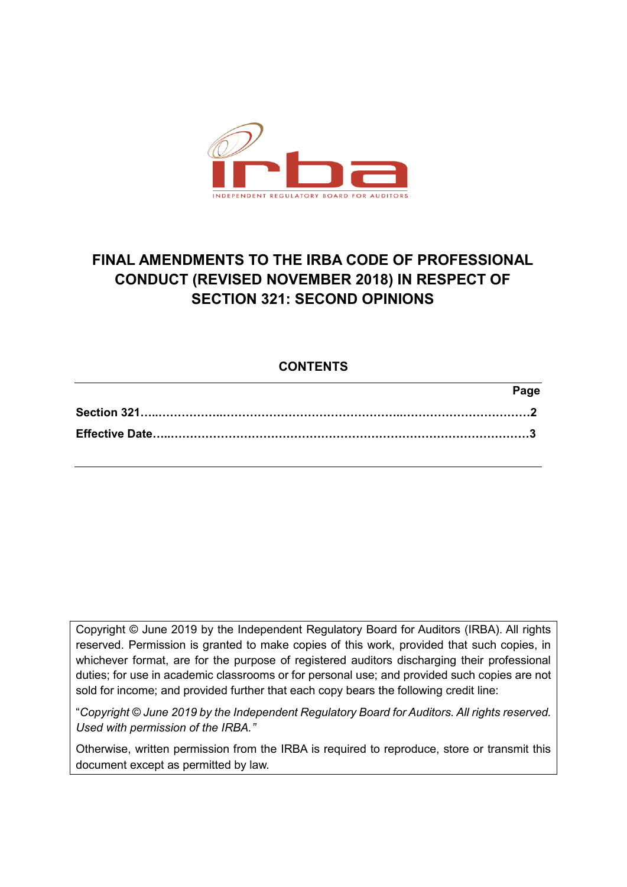

## **FINAL AMENDMENTS TO THE IRBA CODE OF PROFESSIONAL CONDUCT (REVISED NOVEMBER 2018) IN RESPECT OF SECTION 321: SECOND OPINIONS**

## **CONTENTS**

| Page |
|------|
|      |
|      |

Copyright © June 2019 by the Independent Regulatory Board for Auditors (IRBA). All rights reserved. Permission is granted to make copies of this work, provided that such copies, in whichever format, are for the purpose of registered auditors discharging their professional duties; for use in academic classrooms or for personal use; and provided such copies are not sold for income; and provided further that each copy bears the following credit line:

"*Copyright © June 2019 by the Independent Regulatory Board for Auditors. All rights reserved. Used with permission of the IRBA."*

Otherwise, written permission from the IRBA is required to reproduce, store or transmit this document except as permitted by law.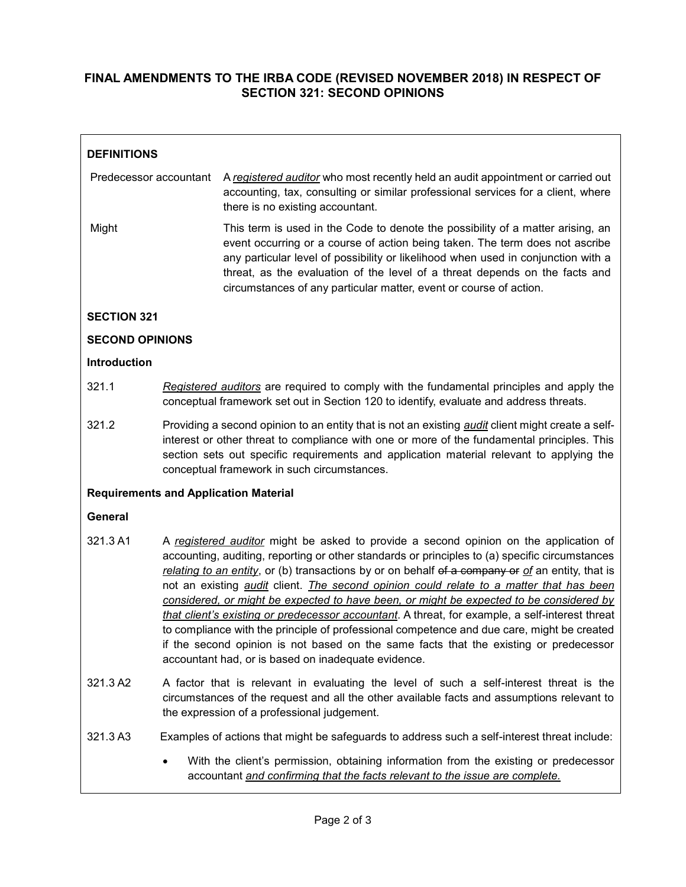## **FINAL AMENDMENTS TO THE IRBA CODE (REVISED NOVEMBER 2018) IN RESPECT OF SECTION 321: SECOND OPINIONS**

| <b>DEFINITIONS</b>                           |                                                                                                                                                                                                                                                                                                                                                                                                                                                                                                                                                                                                                                                                                                                                                                                                                                           |                                                                                                                                                                                                                                                                                                                                                                                                           |  |  |
|----------------------------------------------|-------------------------------------------------------------------------------------------------------------------------------------------------------------------------------------------------------------------------------------------------------------------------------------------------------------------------------------------------------------------------------------------------------------------------------------------------------------------------------------------------------------------------------------------------------------------------------------------------------------------------------------------------------------------------------------------------------------------------------------------------------------------------------------------------------------------------------------------|-----------------------------------------------------------------------------------------------------------------------------------------------------------------------------------------------------------------------------------------------------------------------------------------------------------------------------------------------------------------------------------------------------------|--|--|
| Predecessor accountant                       |                                                                                                                                                                                                                                                                                                                                                                                                                                                                                                                                                                                                                                                                                                                                                                                                                                           | A registered auditor who most recently held an audit appointment or carried out<br>accounting, tax, consulting or similar professional services for a client, where<br>there is no existing accountant.                                                                                                                                                                                                   |  |  |
| Might                                        |                                                                                                                                                                                                                                                                                                                                                                                                                                                                                                                                                                                                                                                                                                                                                                                                                                           | This term is used in the Code to denote the possibility of a matter arising, an<br>event occurring or a course of action being taken. The term does not ascribe<br>any particular level of possibility or likelihood when used in conjunction with a<br>threat, as the evaluation of the level of a threat depends on the facts and<br>circumstances of any particular matter, event or course of action. |  |  |
| <b>SECTION 321</b>                           |                                                                                                                                                                                                                                                                                                                                                                                                                                                                                                                                                                                                                                                                                                                                                                                                                                           |                                                                                                                                                                                                                                                                                                                                                                                                           |  |  |
| <b>SECOND OPINIONS</b>                       |                                                                                                                                                                                                                                                                                                                                                                                                                                                                                                                                                                                                                                                                                                                                                                                                                                           |                                                                                                                                                                                                                                                                                                                                                                                                           |  |  |
| <b>Introduction</b>                          |                                                                                                                                                                                                                                                                                                                                                                                                                                                                                                                                                                                                                                                                                                                                                                                                                                           |                                                                                                                                                                                                                                                                                                                                                                                                           |  |  |
| 321.1                                        | Registered auditors are required to comply with the fundamental principles and apply the<br>conceptual framework set out in Section 120 to identify, evaluate and address threats.                                                                                                                                                                                                                                                                                                                                                                                                                                                                                                                                                                                                                                                        |                                                                                                                                                                                                                                                                                                                                                                                                           |  |  |
| 321.2                                        | Providing a second opinion to an entity that is not an existing <i>audit</i> client might create a self-<br>interest or other threat to compliance with one or more of the fundamental principles. This<br>section sets out specific requirements and application material relevant to applying the<br>conceptual framework in such circumstances.                                                                                                                                                                                                                                                                                                                                                                                                                                                                                        |                                                                                                                                                                                                                                                                                                                                                                                                           |  |  |
| <b>Requirements and Application Material</b> |                                                                                                                                                                                                                                                                                                                                                                                                                                                                                                                                                                                                                                                                                                                                                                                                                                           |                                                                                                                                                                                                                                                                                                                                                                                                           |  |  |
| <b>General</b>                               |                                                                                                                                                                                                                                                                                                                                                                                                                                                                                                                                                                                                                                                                                                                                                                                                                                           |                                                                                                                                                                                                                                                                                                                                                                                                           |  |  |
| 321.3 A1                                     | A registered auditor might be asked to provide a second opinion on the application of<br>accounting, auditing, reporting or other standards or principles to (a) specific circumstances<br>relating to an entity, or (b) transactions by or on behalf of a company or of an entity, that is<br>not an existing <i>audit</i> client. The second opinion could relate to a matter that has been<br>considered, or might be expected to have been, or might be expected to be considered by<br>that client's existing or predecessor accountant. A threat, for example, a self-interest threat<br>to compliance with the principle of professional competence and due care, might be created<br>if the second opinion is not based on the same facts that the existing or predecessor<br>accountant had, or is based on inadequate evidence. |                                                                                                                                                                                                                                                                                                                                                                                                           |  |  |
| 321.3 A2                                     | A factor that is relevant in evaluating the level of such a self-interest threat is the<br>circumstances of the request and all the other available facts and assumptions relevant to<br>the expression of a professional judgement.                                                                                                                                                                                                                                                                                                                                                                                                                                                                                                                                                                                                      |                                                                                                                                                                                                                                                                                                                                                                                                           |  |  |
| 321.3 A3                                     |                                                                                                                                                                                                                                                                                                                                                                                                                                                                                                                                                                                                                                                                                                                                                                                                                                           | Examples of actions that might be safeguards to address such a self-interest threat include:                                                                                                                                                                                                                                                                                                              |  |  |
|                                              |                                                                                                                                                                                                                                                                                                                                                                                                                                                                                                                                                                                                                                                                                                                                                                                                                                           | With the client's permission, obtaining information from the existing or predecessor<br>accountant and confirming that the facts relevant to the issue are complete.                                                                                                                                                                                                                                      |  |  |